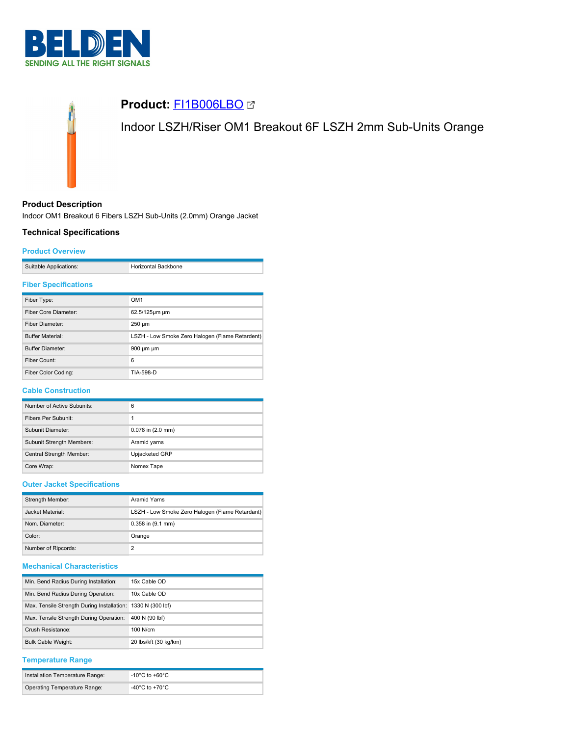



## **Product Description**

Indoor OM1 Breakout 6 Fibers LSZH Sub-Units (2.0mm) Orange Jacket

### **Technical Specifications**

### **Product Overview**

| Suitable Applications: | <b>Horizontal Backbone</b> |
|------------------------|----------------------------|

### **Fiber Specifications**

| Fiber Type:             | OM <sub>1</sub>                                 |
|-------------------------|-------------------------------------------------|
| Fiber Core Diameter:    | 62.5/125um um                                   |
| Fiber Diameter:         | $250 \mu m$                                     |
| <b>Buffer Material:</b> | LSZH - Low Smoke Zero Halogen (Flame Retardent) |
| <b>Buffer Diameter:</b> | 900 µm µm                                       |
| Fiber Count:            | 6                                               |
| Fiber Color Coding:     | TIA-598-D                                       |

### **Cable Construction**

| Number of Active Subunits:       | 6                     |
|----------------------------------|-----------------------|
| Fibers Per Subunit:              | 1                     |
| Subunit Diameter:                | $0.078$ in $(2.0$ mm) |
| <b>Subunit Strength Members:</b> | Aramid yarns          |
| Central Strength Member:         | Upjacketed GRP        |
| Core Wrap:                       | Nomex Tape            |

# **Outer Jacket Specifications**

| Strength Member:    | Aramid Yarns                                    |  |
|---------------------|-------------------------------------------------|--|
| Jacket Material:    | LSZH - Low Smoke Zero Halogen (Flame Retardant) |  |
| Nom. Diameter:      | $0.358$ in $(9.1$ mm)                           |  |
| Color:              | Orange                                          |  |
| Number of Ripcords: |                                                 |  |

# **Mechanical Characteristics**

| Min. Bend Radius During Installation:                       | 15x Cable OD          |
|-------------------------------------------------------------|-----------------------|
| Min. Bend Radius During Operation:                          | 10x Cable OD          |
| Max. Tensile Strength During Installation: 1330 N (300 lbf) |                       |
| Max. Tensile Strength During Operation:                     | 400 N (90 lbf)        |
| Crush Resistance:                                           | $100$ N/cm            |
| <b>Bulk Cable Weight:</b>                                   | 20 lbs/kft (30 kg/km) |

### **Temperature Range**

| Installation Temperature Range: | -10°C to +60°C.                      |
|---------------------------------|--------------------------------------|
| Operating Temperature Range:    | -40 $^{\circ}$ C to +70 $^{\circ}$ C |